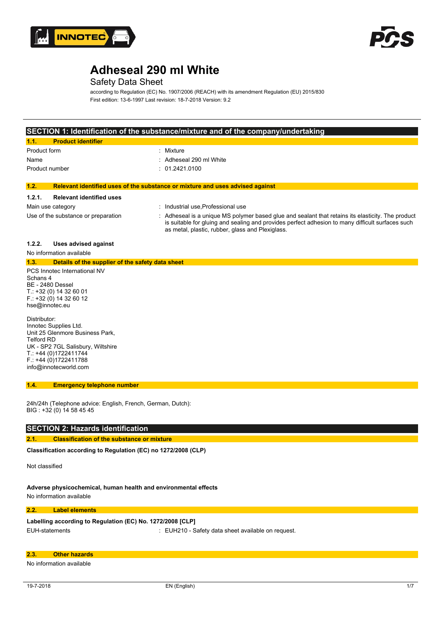



## Safety Data Sheet

according to Regulation (EC) No. 1907/2006 (REACH) with its amendment Regulation (EU) 2015/830 First edition: 13-6-1997 Last revision: 18-7-2018 Version: 9.2

#### **SECTION 1: Identification of the substance/mixture and of the company/undertaking**

| 117<br><b>Product identifier</b> |                         |
|----------------------------------|-------------------------|
| Product form                     | : Mixture               |
| Name                             | : Adheseal 290 ml White |
| Product number                   | : 01.2421.0100          |

#### **1.2. Relevant identified uses of the substance or mixture and uses advised against**

#### **1.2.1. Relevant identified uses**

| --------                            |                                                                                                                                                                                                     |
|-------------------------------------|-----------------------------------------------------------------------------------------------------------------------------------------------------------------------------------------------------|
| Main use category                   | : Industrial use Professional use                                                                                                                                                                   |
| Use of the substance or preparation | Adheseal is a unique MS polymer based glue and sealant that retains its elasticity. The product<br>is suitable for gluing and sealing and provides perfect adhesion to many difficult surfaces such |
|                                     | as metal, plastic, rubber, glass and Plexiglass.                                                                                                                                                    |

#### **1.2.2. Uses advised against**

No information available

#### **1.3. Details of the supplier of the safety data sheet**

PCS Innotec International NV Schans 4 BE - 2480 Dessel T.: +32 (0) 14 32 60 01 F.: +32 (0) 14 32 60 12 hse@innotec.eu

Distributor: Innotec Supplies Ltd. Unit 25 Glenmore Business Park, Telford RD UK - SP2 7GL Salisbury, Wiltshire T.: +44 (0)1722411744 F.: +44 (0)1722411788 info@innotecworld.com

#### **1.4. Emergency telephone number**

24h/24h (Telephone advice: English, French, German, Dutch): BIG : +32 (0) 14 58 45 45

#### **SECTION 2: Hazards identification**

#### **2.1. Classification of the substance or mixture**

Classification according to Regulation (EC) no 1272/2008 (CLP)

Not classified

**Adverse physicochemical, human health and environmental effects** No information available

### **2.2. Label elements**

#### **Labelling** according to Regulation (EC) No. 1272/2008 [CLP]

EUH-statements : EUH210 - Safety data sheet available on request.

#### **2.3. Other hazards**

No information available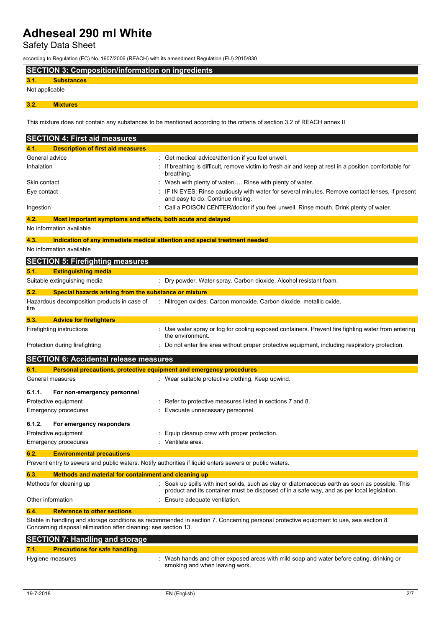Safety Data Sheet

according to Regulation (EC) No. 1907/2006 (REACH) with its amendment Regulation (EU) 2015/830

## **SECTION 3: Composition/information on ingredients**

## **3.1. Substances**

Not applicable

**3.2. Mixtures**

This mixture does not contain any substances to be mentioned according to the criteria of section 3.2 of REACH annex II

| <b>SECTION 4: First aid measures</b>                                                                    |                                                                                                                                                                                                |
|---------------------------------------------------------------------------------------------------------|------------------------------------------------------------------------------------------------------------------------------------------------------------------------------------------------|
| <b>Description of first aid measures</b><br>4.1.                                                        |                                                                                                                                                                                                |
| General advice                                                                                          | Get medical advice/attention if you feel unwell.                                                                                                                                               |
| Inhalation                                                                                              | If breathing is difficult, remove victim to fresh air and keep at rest in a position comfortable for<br>breathing.                                                                             |
| Skin contact                                                                                            | Wash with plenty of water Rinse with plenty of water.                                                                                                                                          |
| Eye contact                                                                                             | IF IN EYES: Rinse cautiously with water for several minutes. Remove contact lenses, if present<br>and easy to do. Continue rinsing.                                                            |
| Ingestion                                                                                               | Call a POISON CENTER/doctor if you feel unwell. Rinse mouth. Drink plenty of water.                                                                                                            |
| 4.2.<br>Most important symptoms and effects, both acute and delayed                                     |                                                                                                                                                                                                |
| No information available                                                                                |                                                                                                                                                                                                |
| 4.3.                                                                                                    | Indication of any immediate medical attention and special treatment needed                                                                                                                     |
| No information available                                                                                |                                                                                                                                                                                                |
| <b>SECTION 5: Firefighting measures</b>                                                                 |                                                                                                                                                                                                |
| <b>Extinguishing media</b><br>5.1.                                                                      |                                                                                                                                                                                                |
| Suitable extinguishing media                                                                            | : Dry powder. Water spray. Carbon dioxide. Alcohol resistant foam.                                                                                                                             |
| 5.2.<br>Special hazards arising from the substance or mixture                                           |                                                                                                                                                                                                |
| Hazardous decomposition products in case of<br>fire                                                     | : Nitrogen oxides. Carbon monoxide. Carbon dioxide. metallic oxide.                                                                                                                            |
| 5.3.<br><b>Advice for firefighters</b>                                                                  |                                                                                                                                                                                                |
| Firefighting instructions                                                                               | : Use water spray or fog for cooling exposed containers. Prevent fire fighting water from entering<br>the environment.                                                                         |
| Protection during firefighting                                                                          | : Do not enter fire area without proper protective equipment, including respiratory protection.                                                                                                |
| <b>SECTION 6: Accidental release measures</b>                                                           |                                                                                                                                                                                                |
| Personal precautions, protective equipment and emergency procedures<br>6.1.                             |                                                                                                                                                                                                |
| General measures                                                                                        | : Wear suitable protective clothing. Keep upwind.                                                                                                                                              |
| 6.1.1.<br>For non-emergency personnel                                                                   |                                                                                                                                                                                                |
| Protective equipment                                                                                    | Refer to protective measures listed in sections 7 and 8.                                                                                                                                       |
| Emergency procedures                                                                                    | Evacuate unnecessary personnel.                                                                                                                                                                |
| 6.1.2.<br>For emergency responders                                                                      |                                                                                                                                                                                                |
| Protective equipment                                                                                    | Equip cleanup crew with proper protection.                                                                                                                                                     |
| Emergency procedures                                                                                    | Ventilate area.                                                                                                                                                                                |
| 6.2.<br><b>Environmental precautions</b>                                                                |                                                                                                                                                                                                |
| Prevent entry to sewers and public waters. Notify authorities if liquid enters sewers or public waters. |                                                                                                                                                                                                |
| Methods and material for containment and cleaning up<br>6.3.                                            |                                                                                                                                                                                                |
| Methods for cleaning up                                                                                 | : Soak up spills with inert solids, such as clay or diatomaceous earth as soon as possible. This<br>product and its container must be disposed of in a safe way, and as per local legislation. |
| Other information                                                                                       | Ensure adequate ventilation.                                                                                                                                                                   |
| <b>Reference to other sections</b><br>6.4.                                                              |                                                                                                                                                                                                |
| Concerning disposal elimination after cleaning: see section 13.                                         | Stable in handling and storage conditions as recommended in section 7. Concerning personal protective equipment to use, see section 8.                                                         |
| <b>SECTION 7: Handling and storage</b>                                                                  |                                                                                                                                                                                                |
| <b>Precautions for safe handling</b><br>7.1.                                                            |                                                                                                                                                                                                |

Hygiene measures **in the startup of the Startup Constant** Wash hands and other exposed areas with mild soap and water before eating, drinking or smoking and when leaving work.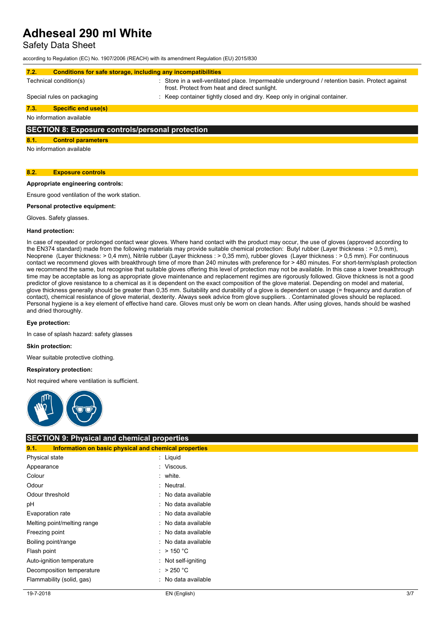Safety Data Sheet

according to Regulation (EC) No. 1907/2006 (REACH) with its amendment Regulation (EU) 2015/830

| 7.2.                                                    | Conditions for safe storage, including any incompatibilities                                                                                    |
|---------------------------------------------------------|-------------------------------------------------------------------------------------------------------------------------------------------------|
| Technical condition(s)                                  | : Store in a well-ventilated place. Impermeable underground / retention basin. Protect against<br>frost. Protect from heat and direct sunlight. |
| Special rules on packaging                              | : Keep container tightly closed and dry. Keep only in original container.                                                                       |
| 7.3.<br><b>Specific end use(s)</b>                      |                                                                                                                                                 |
| No information available                                |                                                                                                                                                 |
| <b>SECTION 8: Exposure controls/personal protection</b> |                                                                                                                                                 |

### **8.1. Control parameters**

No information available

#### **8.2. Exposure controls**

### **Appropriate engineering controls:**

Ensure good ventilation of the work station.

**Personal protective equipment:**

Gloves. Safety glasses.

#### **Hand protection:**

In case of repeated or prolonged contact wear gloves. Where hand contact with the product may occur, the use of gloves (approved according to the EN374 standard) made from the following materials may provide suitable chemical protection: Butyl rubber (Layer thickness : > 0,5 mm), Neoprene (Layer thickness: > 0,4 mm), Nitrile rubber (Layer thickness : > 0,35 mm), rubber gloves (Layer thickness : > 0,5 mm). For continuous contact we recommend gloves with breakthrough time of more than 240 minutes with preference for > 480 minutes. For short-term/splash protection we recommend the same, but recognise that suitable gloves offering this level of protection may not be available. In this case a lower breakthrough time may be acceptable as long as appropriate glove maintenance and replacement regimes are rigorously followed. Glove thickness is not a good predictor of glove resistance to a chemical as it is dependent on the exact composition of the glove material. Depending on model and material, glove thickness generally should be greater than 0,35 mm. Suitability and durability of a glove is dependent on usage (= frequency and duration of contact), chemical resistance of glove material, dexterity. Always seek advice from glove suppliers. . Contaminated gloves should be replaced. Personal hygiene is a key element of effective hand care. Gloves must only be worn on clean hands. After using gloves, hands should be washed and dried thoroughly.

#### **Eye protection:**

In case of splash hazard: safety glasses

#### **Skin protection:**

Wear suitable protective clothing.

#### **Respiratory protection:**

Not required where ventilation is sufficient.



### **SECTION 9: Physical and chemical properties**

| 9.1.                | Information on basic physical and chemical properties |                     |
|---------------------|-------------------------------------------------------|---------------------|
| Physical state      |                                                       | $:$ Liquid          |
| Appearance          |                                                       | : Viscous.          |
| Colour              |                                                       | : white.            |
| Odour               |                                                       | : Neutral.          |
| Odour threshold     |                                                       | : No data available |
| рH                  |                                                       | : No data available |
| Evaporation rate    |                                                       | : No data available |
|                     | Melting point/melting range                           | : No data available |
| Freezing point      |                                                       | : No data available |
| Boiling point/range |                                                       | : No data available |
| Flash point         |                                                       | : > 150 °C          |
|                     | Auto-ignition temperature                             | : Not self-igniting |
|                     | Decomposition temperature                             | : $>250^{\circ}$ C  |
|                     | Flammability (solid, gas)                             | : No data available |
|                     |                                                       |                     |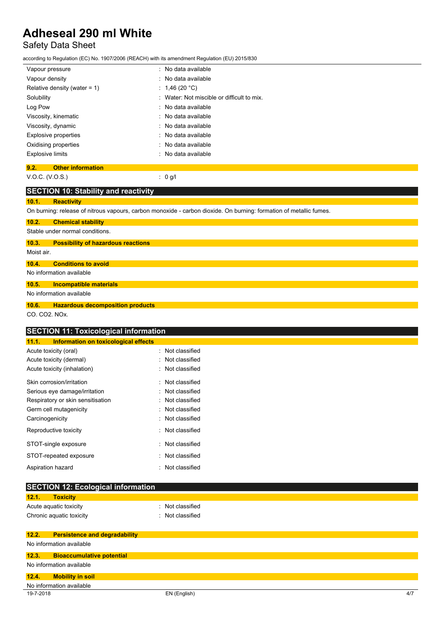# Safety Data Sheet

according to Regulation (EC) No. 1907/2006 (REACH) with its amendment Regulation (EU) 2015/830

| Vapour pressure                  | : No data available                        |  |
|----------------------------------|--------------------------------------------|--|
| Vapour density                   | : No data available                        |  |
| Relative density (water = $1$ )  | : 1,46 (20 °C)                             |  |
| Solubility                       | : Water: Not miscible or difficult to mix. |  |
| Log Pow                          | : No data available                        |  |
| Viscosity, kinematic             | : No data available                        |  |
| Viscosity, dynamic               | : No data available                        |  |
| Explosive properties             | : No data available                        |  |
| Oxidising properties             | : No data available                        |  |
| <b>Explosive limits</b>          | : No data available                        |  |
| 9.2.<br><b>Other information</b> |                                            |  |

# V.O.C. (V.O.S.) : 0 g/l

| <b>SECTION 10: Stability and reactivity</b>          |                                                                                                                    |
|------------------------------------------------------|--------------------------------------------------------------------------------------------------------------------|
| <b>Reactivity</b><br>10.1.                           |                                                                                                                    |
|                                                      | On burning: release of nitrous vapours, carbon monoxide - carbon dioxide. On burning: formation of metallic fumes. |
| <b>Chemical stability</b><br>10.2.                   |                                                                                                                    |
| Stable under normal conditions.                      |                                                                                                                    |
| 10.3.<br><b>Possibility of hazardous reactions</b>   |                                                                                                                    |
| Moist air.                                           |                                                                                                                    |
| 10.4.<br><b>Conditions to avoid</b>                  |                                                                                                                    |
| No information available                             |                                                                                                                    |
| 10.5.<br><b>Incompatible materials</b>               |                                                                                                                    |
| No information available                             |                                                                                                                    |
| <b>Hazardous decomposition products</b><br>10.6.     |                                                                                                                    |
| CO. CO2. NOx.                                        |                                                                                                                    |
| <b>SECTION 11: Toxicological information</b>         |                                                                                                                    |
| <b>Information on toxicological effects</b><br>11.1. |                                                                                                                    |
| Acute toxicity (oral)                                | Not classified                                                                                                     |
| Acute toxicity (dermal)                              | Not classified                                                                                                     |
| Acute toxicity (inhalation)                          | Not classified                                                                                                     |
| Skin corrosion/irritation                            | Not classified                                                                                                     |
| Serious eye damage/irritation                        | Not classified                                                                                                     |
| Respiratory or skin sensitisation                    | Not classified                                                                                                     |
| Germ cell mutagenicity                               | Not classified                                                                                                     |
| Carcinogenicity                                      | Not classified                                                                                                     |
| Reproductive toxicity                                | Not classified                                                                                                     |
| STOT-single exposure                                 | Not classified                                                                                                     |
| STOT-repeated exposure                               | Not classified                                                                                                     |
| Aspiration hazard                                    | Not classified                                                                                                     |
| <b>SECTION 12: Ecological information</b>            |                                                                                                                    |
| 12.1.<br><b>Toxicity</b>                             |                                                                                                                    |
| Acute aquatic toxicity                               | Not classified                                                                                                     |
| Chronic aquatic toxicity                             | Not classified                                                                                                     |
| 12.2.<br><b>Persistence and degradability</b>        |                                                                                                                    |
| No information available                             |                                                                                                                    |
| <b>Bioaccumulative potential</b><br>12.3.            |                                                                                                                    |
| No information available                             |                                                                                                                    |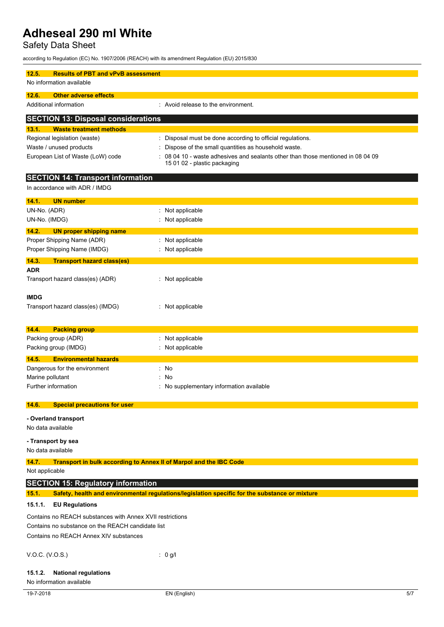Safety Data Sheet

according to Regulation (EC) No. 1907/2006 (REACH) with its amendment Regulation (EU) 2015/830

| <b>Results of PBT and vPvB assessment</b><br>12.5.                                 |                                                                                                |
|------------------------------------------------------------------------------------|------------------------------------------------------------------------------------------------|
| No information available                                                           |                                                                                                |
| <b>Other adverse effects</b><br>12.6.                                              |                                                                                                |
| Additional information                                                             | : Avoid release to the environment.                                                            |
| <b>SECTION 13: Disposal considerations</b>                                         |                                                                                                |
| 13.1.<br><b>Waste treatment methods</b>                                            |                                                                                                |
| Regional legislation (waste)                                                       | Disposal must be done according to official regulations.                                       |
| Waste / unused products                                                            | Dispose of the small quantities as household waste.                                            |
| European List of Waste (LoW) code                                                  | 08 04 10 - waste adhesives and sealants other than those mentioned in 08 04 09                 |
|                                                                                    | 15 01 02 - plastic packaging                                                                   |
| <b>SECTION 14: Transport information</b>                                           |                                                                                                |
| In accordance with ADR / IMDG                                                      |                                                                                                |
| <b>UN number</b><br>14.1.                                                          |                                                                                                |
| UN-No. (ADR)                                                                       | : Not applicable                                                                               |
| UN-No. (IMDG)                                                                      | : Not applicable                                                                               |
| 14.2.<br><b>UN proper shipping name</b>                                            |                                                                                                |
| Proper Shipping Name (ADR)                                                         | : Not applicable                                                                               |
| Proper Shipping Name (IMDG)                                                        | : Not applicable                                                                               |
| 14.3.<br><b>Transport hazard class(es)</b>                                         |                                                                                                |
| ADR                                                                                |                                                                                                |
| Transport hazard class(es) (ADR)                                                   | : Not applicable                                                                               |
|                                                                                    |                                                                                                |
| <b>IMDG</b>                                                                        |                                                                                                |
| Transport hazard class(es) (IMDG)                                                  | : Not applicable                                                                               |
|                                                                                    |                                                                                                |
| 14.4.<br><b>Packing group</b>                                                      |                                                                                                |
| Packing group (ADR)                                                                | Not applicable                                                                                 |
| Packing group (IMDG)                                                               | Not applicable                                                                                 |
| <b>Environmental hazards</b><br>14.5.                                              |                                                                                                |
| Dangerous for the environment                                                      | : No                                                                                           |
| Marine pollutant                                                                   | No                                                                                             |
| Further information                                                                | : No supplementary information available                                                       |
| 14.6.<br><b>Special precautions for user</b>                                       |                                                                                                |
|                                                                                    |                                                                                                |
| - Overland transport                                                               |                                                                                                |
| No data available                                                                  |                                                                                                |
| - Transport by sea                                                                 |                                                                                                |
| No data available                                                                  |                                                                                                |
| <b>Transport in bulk according to Annex II of Marpol and the IBC Code</b><br>14.7. |                                                                                                |
| Not applicable                                                                     |                                                                                                |
| <b>SECTION 15: Regulatory information</b>                                          |                                                                                                |
| 15.1.                                                                              | Safety, health and environmental regulations/legislation specific for the substance or mixture |
| 15.1.1.<br><b>EU Regulations</b>                                                   |                                                                                                |
| Contains no REACH substances with Annex XVII restrictions                          |                                                                                                |
| Contains no substance on the REACH candidate list                                  |                                                                                                |
| Contains no REACH Annex XIV substances                                             |                                                                                                |
|                                                                                    |                                                                                                |
| V.O.C. (V.O.S.)                                                                    | : 0 g/l                                                                                        |
|                                                                                    |                                                                                                |
| <b>National regulations</b><br>15.1.2.<br>No information available                 |                                                                                                |
|                                                                                    |                                                                                                |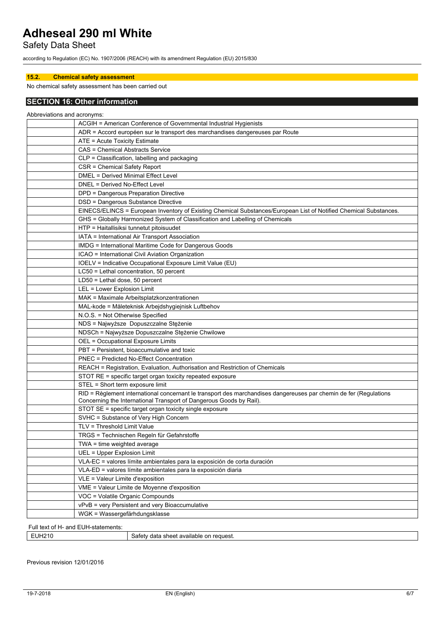Safety Data Sheet

according to Regulation (EC) No. 1907/2006 (REACH) with its amendment Regulation (EU) 2015/830

### **15.2. Chemical safety assessment**

No chemical safety assessment has been carried out

### **SECTION 16: Other information**

| Abbreviations and acronyms: |                                                                                                                                                                                          |
|-----------------------------|------------------------------------------------------------------------------------------------------------------------------------------------------------------------------------------|
|                             | ACGIH = American Conference of Governmental Industrial Hygienists                                                                                                                        |
|                             | ADR = Accord européen sur le transport des marchandises dangereuses par Route                                                                                                            |
|                             | ATE = Acute Toxicity Estimate                                                                                                                                                            |
|                             | CAS = Chemical Abstracts Service                                                                                                                                                         |
|                             | CLP = Classification, labelling and packaging                                                                                                                                            |
|                             | CSR = Chemical Safety Report                                                                                                                                                             |
|                             | DMEL = Derived Minimal Effect Level                                                                                                                                                      |
|                             | DNEL = Derived No-Effect Level                                                                                                                                                           |
|                             | DPD = Dangerous Preparation Directive                                                                                                                                                    |
|                             | DSD = Dangerous Substance Directive                                                                                                                                                      |
|                             | EINECS/ELINCS = European Inventory of Existing Chemical Substances/European List of Notified Chemical Substances.                                                                        |
|                             | GHS = Globally Harmonized System of Classification and Labelling of Chemicals                                                                                                            |
|                             | HTP = Haitallisiksi tunnetut pitoisuudet                                                                                                                                                 |
|                             | IATA = International Air Transport Association                                                                                                                                           |
|                             | IMDG = International Maritime Code for Dangerous Goods                                                                                                                                   |
|                             | ICAO = International Civil Aviation Organization                                                                                                                                         |
|                             | IOELV = Indicative Occupational Exposure Limit Value (EU)                                                                                                                                |
|                             | LC50 = Lethal concentration, 50 percent                                                                                                                                                  |
|                             | LD50 = Lethal dose, 50 percent                                                                                                                                                           |
|                             | LEL = Lower Explosion Limit                                                                                                                                                              |
|                             | MAK = Maximale Arbeitsplatzkonzentrationen                                                                                                                                               |
|                             | MAL-kode = Måleteknisk Arbejdshygiejnisk Luftbehov                                                                                                                                       |
|                             | N.O.S. = Not Otherwise Specified                                                                                                                                                         |
|                             | NDS = Najwyższe Dopuszczalne Stężenie                                                                                                                                                    |
|                             | NDSCh = Najwyższe Dopuszczalne Stężenie Chwilowe                                                                                                                                         |
|                             | OEL = Occupational Exposure Limits                                                                                                                                                       |
|                             | PBT = Persistent, bioaccumulative and toxic                                                                                                                                              |
|                             | <b>PNEC = Predicted No-Effect Concentration</b>                                                                                                                                          |
|                             | REACH = Registration, Evaluation, Authorisation and Restriction of Chemicals                                                                                                             |
|                             | STOT RE = specific target organ toxicity repeated exposure                                                                                                                               |
|                             | STEL = Short term exposure limit                                                                                                                                                         |
|                             | RID = Règlement international concernant le transport des marchandises dangereuses par chemin de fer (Regulations<br>Concerning the International Transport of Dangerous Goods by Rail). |
|                             | STOT SE = specific target organ toxicity single exposure                                                                                                                                 |
|                             | SVHC = Substance of Very High Concern                                                                                                                                                    |
|                             | TLV = Threshold Limit Value                                                                                                                                                              |
|                             | TRGS = Technischen Regeln für Gefahrstoffe                                                                                                                                               |
|                             | TWA = time weighted average                                                                                                                                                              |
|                             | UEL = Upper Explosion Limit                                                                                                                                                              |
|                             | VLA-EC = valores límite ambientales para la exposición de corta duración                                                                                                                 |
|                             | VLA-ED = valores límite ambientales para la exposición diaria                                                                                                                            |
|                             | VLE = Valeur Limite d'exposition                                                                                                                                                         |
|                             | VME = Valeur Limite de Moyenne d'exposition                                                                                                                                              |
|                             | VOC = Volatile Organic Compounds                                                                                                                                                         |
|                             | vPvB = very Persistent and very Bioaccumulative                                                                                                                                          |
|                             | WGK = Wassergefärhdungsklasse                                                                                                                                                            |
|                             | and FUU atabanaata                                                                                                                                                                       |

| Full text<br>วtements:<br>and<br>-stater<br>ΩТ<br>. JH-1 |                                                                     |
|----------------------------------------------------------|---------------------------------------------------------------------|
| IH1                                                      | `reauest.<br>data<br>.<br>satety<br>.or<br>. snee<br>avallable<br>. |

Previous revision 12/01/2016